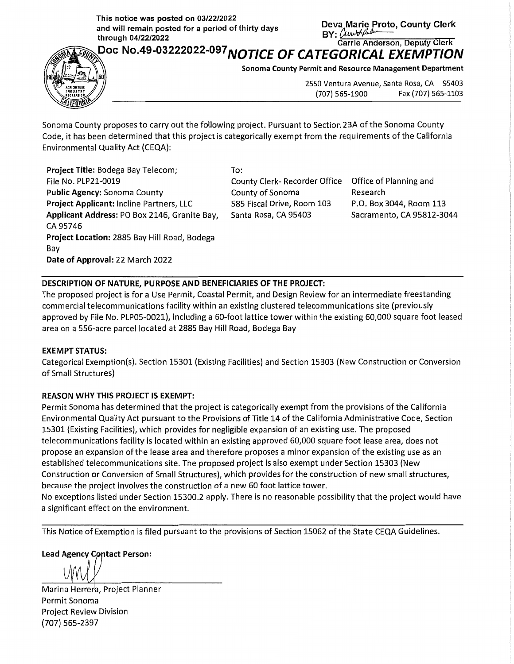**This notice was posted on 03/22/2022** . and will remain posted for a period of thirty days<br>through 04/22/2022 **and will remain posted for a period of thirty days**<br> **BY:**  $\frac{\partial w}{\partial x}$  **·c** *carrie Anderson, Deputy Clerk*<br>
Person, Deputy Clerk



Doc **No.49-03222o22-o97 NOTICE OF CATEGORICAL EXEMPTION** ~

**Sonoma County Permit and Resource Management Department** 

2550 Ventura Avenue, Santa Rosa, CA 95403 (707) 565-1900 Fax (707) 565-1103

Sonoma County proposes to carry out the following project. Pursuant to Section 23A of the Sonoma County Code, it has been determined that this project is categorically exempt from the requirements of the California Environmental Quality Act {CEQA):

**Project Title:** Bodega Bay Telecom; File No. PLP21-0019 **Public Agency:** Sonoma County **Project Applicant:** Incline Partners, LLC **Applicant Address:** PO Box 2146, Granite Bay, CA 95746 **Project Location:** 2885 Bay Hill Road, Bodega Bay **Date of Approval:** 22 March 2022

To:

County Clerk- Recorder Office Office of Planning and County of Sonoma 585 Fiscal Drive, Room 103 Santa Rosa, CA 95403

Research P.O. Box 3044, Room 113 Sacramento, CA 95812-3044

## **DESCRIPTION OF NATURE, PURPOSE AND BENEFICIARIES OF THE PROJECT:**

The proposed project is for a Use Permit, Coastal Permit, and Design Review for an intermediate freestanding commercial telecommunications facility within an existing clustered telecommunications site {previously approved by File No. PLP05-0021), including a 60-foot lattice tower within the existing 60,000 square foot leased area on a 556-acre parcel located at 2885 Bay Hill Road, Bodega Bay

## **EXEMPT STATUS:**

Categorical Exemption{s). Section 15301 {Existing Facilities) and Section 15303 {New Construction or Conversion of Small Structures)

## **REASON WHY THIS PROJECT IS EXEMPT:**

Permit Sonoma has determined that the project is categorically exempt from the provisions of the California Environmental Quality Act pursuant to the Provisions of Title 14 of the California Administrative Code, Section 15301 {Existing Facilities), which provides for negligible expansion of an existing use. The proposed telecommunications facility is located within an existing approved 60,000 square foot lease area, does not propose an expansion of the lease area and therefore proposes a minor expansion of the existing use as an established telecommunications site. The proposed project is also exempt under Section 15303 {New Construction or Conversion of Small Structures), which provides for the construction of new small structures, because the project involves the construction of a new 60 foot lattice tower.

No exceptions listed under Section 15300.2 apply. There is no reasonable possibility that the project would have a significant effect on the environment.

This Notice of Exemption is filed pursuant to the provisions of Section 15062 of the State CEQA Guidelines.

**Lead Agency Contact Person:** 

Marina Herrera, Project Planner Permit Sonoma Project Review Division (707) 565-2397